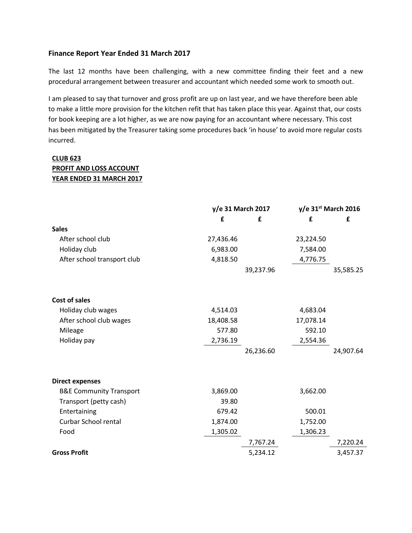## **Finance Report Year Ended 31 March 2017**

The last 12 months have been challenging, with a new committee finding their feet and a new procedural arrangement between treasurer and accountant which needed some work to smooth out.

I am pleased to say that turnover and gross profit are up on last year, and we have therefore been able to make a little more provision for the kitchen refit that has taken place this year. Against that, our costs for book keeping are a lot higher, as we are now paying for an accountant where necessary. This cost has been mitigated by the Treasurer taking some procedures back 'in house' to avoid more regular costs incurred.

## **CLUB 623 PROFIT AND LOSS ACCOUNT YEAR ENDED 31 MARCH 2017**

|                                    | y/e 31 March 2017 |           | $y/e$ 31st March 2016 |           |
|------------------------------------|-------------------|-----------|-----------------------|-----------|
|                                    | £                 | £         | £                     | £         |
| <b>Sales</b>                       |                   |           |                       |           |
| After school club                  | 27,436.46         |           | 23,224.50             |           |
| Holiday club                       | 6,983.00          |           | 7,584.00              |           |
| After school transport club        | 4,818.50          |           | 4,776.75              |           |
|                                    |                   | 39,237.96 |                       | 35,585.25 |
| <b>Cost of sales</b>               |                   |           |                       |           |
| Holiday club wages                 | 4,514.03          |           | 4,683.04              |           |
| After school club wages            | 18,408.58         |           | 17,078.14             |           |
| Mileage                            | 577.80            |           | 592.10                |           |
| Holiday pay                        | 2,736.19          |           | 2,554.36              |           |
|                                    |                   | 26,236.60 |                       | 24,907.64 |
| <b>Direct expenses</b>             |                   |           |                       |           |
| <b>B&amp;E Community Transport</b> | 3,869.00          |           | 3,662.00              |           |
| Transport (petty cash)             | 39.80             |           |                       |           |
| Entertaining                       | 679.42            |           | 500.01                |           |
| <b>Curbar School rental</b>        | 1,874.00          |           | 1,752.00              |           |
| Food                               | 1,305.02          |           | 1,306.23              |           |
|                                    |                   | 7,767.24  |                       | 7,220.24  |
| <b>Gross Profit</b>                |                   | 5,234.12  |                       | 3,457.37  |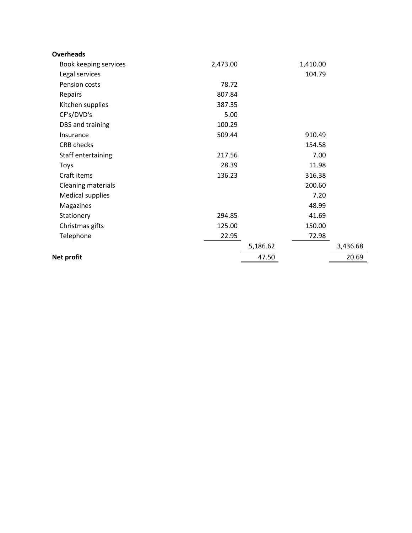| <b>Overheads</b>        |          |          |          |          |
|-------------------------|----------|----------|----------|----------|
| Book keeping services   | 2,473.00 |          | 1,410.00 |          |
| Legal services          |          |          | 104.79   |          |
| Pension costs           | 78.72    |          |          |          |
| Repairs                 | 807.84   |          |          |          |
| Kitchen supplies        | 387.35   |          |          |          |
| CF's/DVD's              | 5.00     |          |          |          |
| DBS and training        | 100.29   |          |          |          |
| Insurance               | 509.44   |          | 910.49   |          |
| <b>CRB</b> checks       |          |          | 154.58   |          |
| Staff entertaining      | 217.56   |          | 7.00     |          |
| Toys                    | 28.39    |          | 11.98    |          |
| Craft items             | 136.23   |          | 316.38   |          |
| Cleaning materials      |          |          | 200.60   |          |
| <b>Medical supplies</b> |          |          | 7.20     |          |
| Magazines               |          |          | 48.99    |          |
| Stationery              | 294.85   |          | 41.69    |          |
| Christmas gifts         | 125.00   |          | 150.00   |          |
| Telephone               | 22.95    |          | 72.98    |          |
|                         |          | 5,186.62 |          | 3,436.68 |
| Net profit              |          | 47.50    |          | 20.69    |